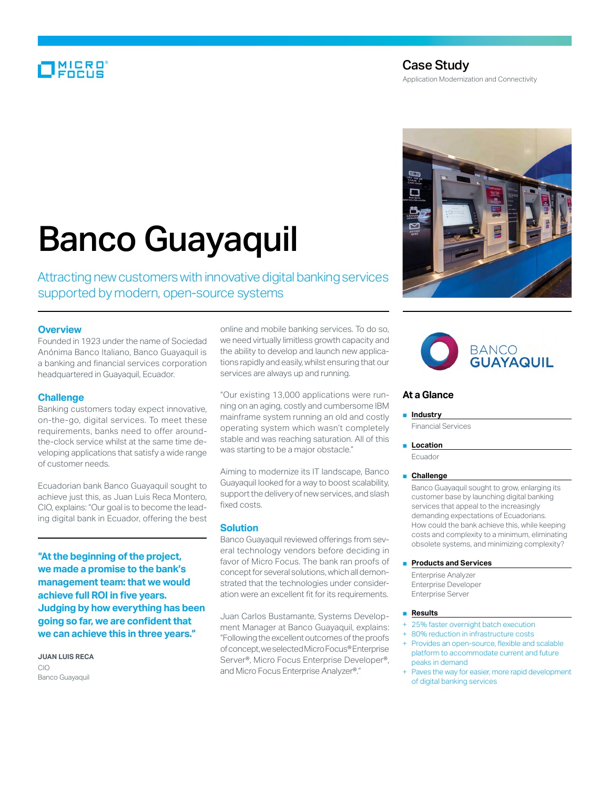# MICRO<br>Encus

# Case Study Application Modernization and Connectivity

# Banco Guayaquil

Attracting new customers with innovative digital banking services supported by modern, open-source systems

## **Overview**

Founded in 1923 under the name of Sociedad Anónima Banco Italiano, Banco Guayaquil is a banking and financial services corporation headquartered in Guayaquil, Ecuador.

# **Challenge**

Banking customers today expect innovative, on-the-go, digital services. To meet these requirements, banks need to offer aroundthe-clock service whilst at the same time developing applications that satisfy a wide range of customer needs.

Ecuadorian bank Banco Guayaquil sought to achieve just this, as Juan Luis Reca Montero, CIO, explains: "Our goal is to become the leading digital bank in Ecuador, offering the best

**"At the beginning of the project, we made a promise to the bank's management team: that we would achieve full ROI in five years. Judging by how everything has been going so far, we are confident that we can achieve this in three years."**

**Juan Luis Reca** CIO Banco Guayaquil

online and mobile banking services. To do so, we need virtually limitless growth capacity and the ability to develop and launch new applications rapidly and easily, whilst ensuring that our services are always up and running.

"Our existing 13,000 applications were running on an aging, costly and cumbersome IBM mainframe system running an old and costly operating system which wasn't completely stable and was reaching saturation. All of this was starting to be a major obstacle."

Aiming to modernize its IT landscape, Banco Guayaquil looked for a way to boost scalability, support the delivery of new services, and slash fixed costs.

### **Solution**

Banco Guayaquil reviewed offerings from several technology vendors before deciding in favor of Micro Focus. The bank ran proofs of concept for several solutions, which all demonstrated that the technologies under consideration were an excellent fit for its requirements.

Juan Carlos Bustamante, Systems Development Manager at Banco Guayaquil, explains: "Following the excellent outcomes of the proofs of concept, we selected Micro Focus® Enterprise Server®, Micro Focus Enterprise Developer®, and Micro Focus Enterprise Analyzer®."





# **At a Glance**

#### ■ **Industry**

Financial Services

■ **Location** 

Ecuador

#### ■ **Challenge**

Banco Guayaquil sought to grow, enlarging its customer base by launching digital banking services that appeal to the increasingly demanding expectations of Ecuadorians. How could the bank achieve this, while keeping costs and complexity to a minimum, eliminating obsolete systems, and minimizing complexity?

#### ■ **Products and Services**

Enterprise Analyzer Enterprise Developer Enterprise Server

#### ■ **Results**

- 25% faster overnight batch execution
- 80% reduction in infrastructure costs
- Provides an open-source, flexible and scalable platform to accommodate current and future peaks in demand
- Paves the way for easier, more rapid development of digital banking services